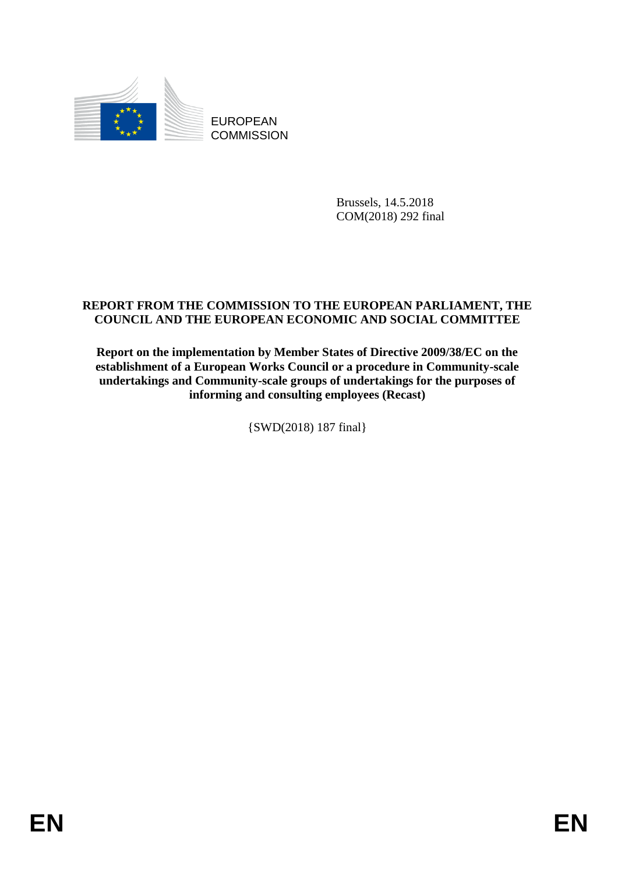

EUROPEAN **COMMISSION** 

> Brussels, 14.5.2018 COM(2018) 292 final

## **REPORT FROM THE COMMISSION TO THE EUROPEAN PARLIAMENT, THE COUNCIL AND THE EUROPEAN ECONOMIC AND SOCIAL COMMITTEE**

**Report on the implementation by Member States of Directive 2009/38/EC on the establishment of a European Works Council or a procedure in Community-scale undertakings and Community-scale groups of undertakings for the purposes of informing and consulting employees (Recast)**

{SWD(2018) 187 final}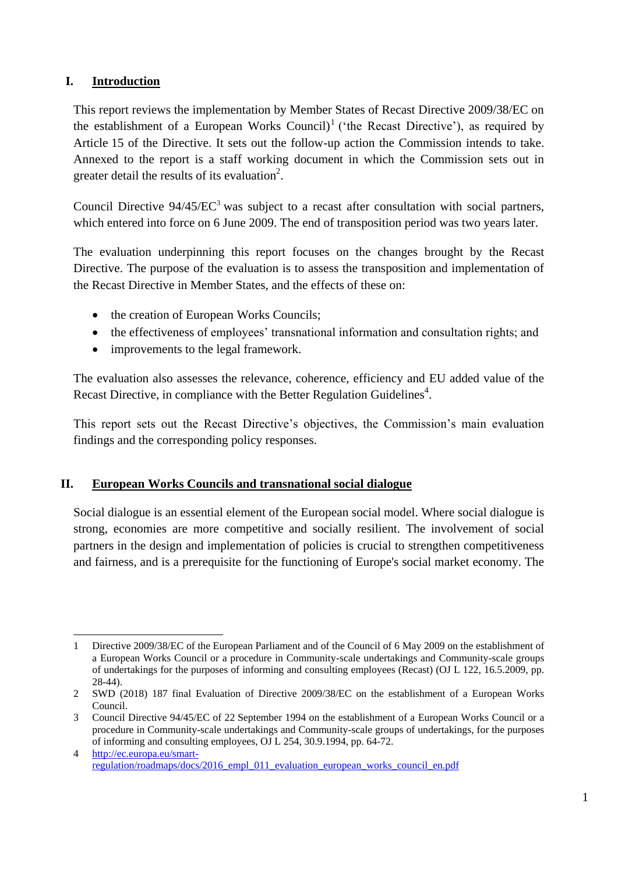### **I. Introduction**

1

This report reviews the implementation by Member States of Recast Directive 2009/38/EC on the establishment of a European Works Council)<sup>1</sup> ('the Recast Directive'), as required by Article 15 of the Directive. It sets out the follow-up action the Commission intends to take. Annexed to the report is a staff working document in which the Commission sets out in greater detail the results of its evaluation<sup>2</sup>.

Council Directive 94/45/EC<sup>3</sup> was subject to a recast after consultation with social partners, which entered into force on 6 June 2009. The end of transposition period was two years later.

The evaluation underpinning this report focuses on the changes brought by the Recast Directive. The purpose of the evaluation is to assess the transposition and implementation of the Recast Directive in Member States, and the effects of these on:

- the creation of European Works Councils;
- the effectiveness of employees' transnational information and consultation rights; and
- improvements to the legal framework.

The evaluation also assesses the relevance, coherence, efficiency and EU added value of the Recast Directive, in compliance with the Better Regulation Guidelines<sup>4</sup>.

This report sets out the Recast Directive's objectives, the Commission's main evaluation findings and the corresponding policy responses.

#### **II. European Works Councils and transnational social dialogue**

Social dialogue is an essential element of the European social model. Where social dialogue is strong, economies are more competitive and socially resilient. The involvement of social partners in the design and implementation of policies is crucial to strengthen competitiveness and fairness, and is a prerequisite for the functioning of Europe's social market economy. The

<sup>1</sup> Directive 2009/38/EC of the European Parliament and of the Council of 6 May 2009 on the establishment of a European Works Council or a procedure in Community-scale undertakings and Community-scale groups of undertakings for the purposes of informing and consulting employees (Recast) (OJ L 122, 16.5.2009, pp. 28-44).

<sup>2</sup> SWD (2018) 187 final Evaluation of Directive 2009/38/EC on the establishment of a European Works Council.

<sup>3</sup> Council Directive 94/45/EC of 22 September 1994 on the establishment of a European Works Council or a procedure in Community-scale undertakings and Community-scale groups of undertakings, for the purposes of informing and consulting employees, OJ L 254, 30.9.1994, pp. 64-72.

<sup>4</sup> [http://ec.europa.eu/smart](http://ec.europa.eu/smart-regulation/roadmaps/docs/2016_empl_011_evaluation_european_works_council_en.pdf)[regulation/roadmaps/docs/2016\\_empl\\_011\\_evaluation\\_european\\_works\\_council\\_en.pdf](http://ec.europa.eu/smart-regulation/roadmaps/docs/2016_empl_011_evaluation_european_works_council_en.pdf)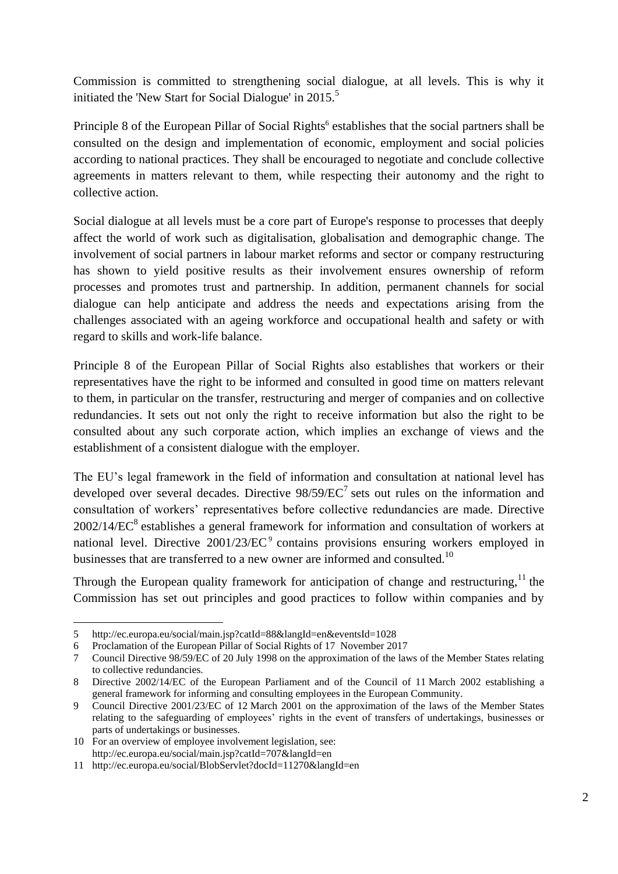Commission is committed to strengthening social dialogue, at all levels. This is why it initiated the 'New Start for Social Dialogue' in  $2015$ <sup>5</sup>

Principle 8 of the European Pillar of Social Rights<sup>6</sup> establishes that the social partners shall be consulted on the design and implementation of economic, employment and social policies according to national practices. They shall be encouraged to negotiate and conclude collective agreements in matters relevant to them, while respecting their autonomy and the right to collective action.

Social dialogue at all levels must be a core part of Europe's response to processes that deeply affect the world of work such as digitalisation, globalisation and demographic change. The involvement of social partners in labour market reforms and sector or company restructuring has shown to yield positive results as their involvement ensures ownership of reform processes and promotes trust and partnership. In addition, permanent channels for social dialogue can help anticipate and address the needs and expectations arising from the challenges associated with an ageing workforce and occupational health and safety or with regard to skills and work-life balance.

Principle 8 of the European Pillar of Social Rights also establishes that workers or their representatives have the right to be informed and consulted in good time on matters relevant to them, in particular on the transfer, restructuring and merger of companies and on collective redundancies. It sets out not only the right to receive information but also the right to be consulted about any such corporate action, which implies an exchange of views and the establishment of a consistent dialogue with the employer.

The EU's legal framework in the field of information and consultation at national level has developed over several decades. Directive  $98/59/EC^7$  sets out rules on the information and consultation of workers' representatives before collective redundancies are made. Directive  $2002/14/EC<sup>8</sup>$  establishes a general framework for information and consultation of workers at national level. Directive 2001/23/EC<sup>9</sup> contains provisions ensuring workers employed in businesses that are transferred to a new owner are informed and consulted.<sup>10</sup>

Through the European quality framework for anticipation of change and restructuring.<sup>11</sup> the Commission has set out principles and good practices to follow within companies and by

<sup>1</sup> 5 http://ec.europa.eu/social/main.jsp?catId=88&langId=en&eventsId=1028

<sup>6</sup> Proclamation of the European Pillar of Social Rights of 17 November 2017

<sup>7</sup> Council Directive 98/59/EC of 20 July 1998 on the approximation of the laws of the Member States relating to collective redundancies.

<sup>8</sup> Directive 2002/14/EC of the European Parliament and of the Council of 11 March 2002 establishing a general framework for informing and consulting employees in the European Community.

<sup>9</sup> Council Directive 2001/23/EC of 12 March 2001 on the approximation of the laws of the Member States relating to the safeguarding of employees' rights in the event of transfers of undertakings, businesses or parts of undertakings or businesses.

<sup>10</sup> For an overview of employee involvement legislation, see: <http://ec.europa.eu/social/main.jsp?catId=707&langId=en>

<sup>11</sup> <http://ec.europa.eu/social/BlobServlet?docId=11270&langId=en>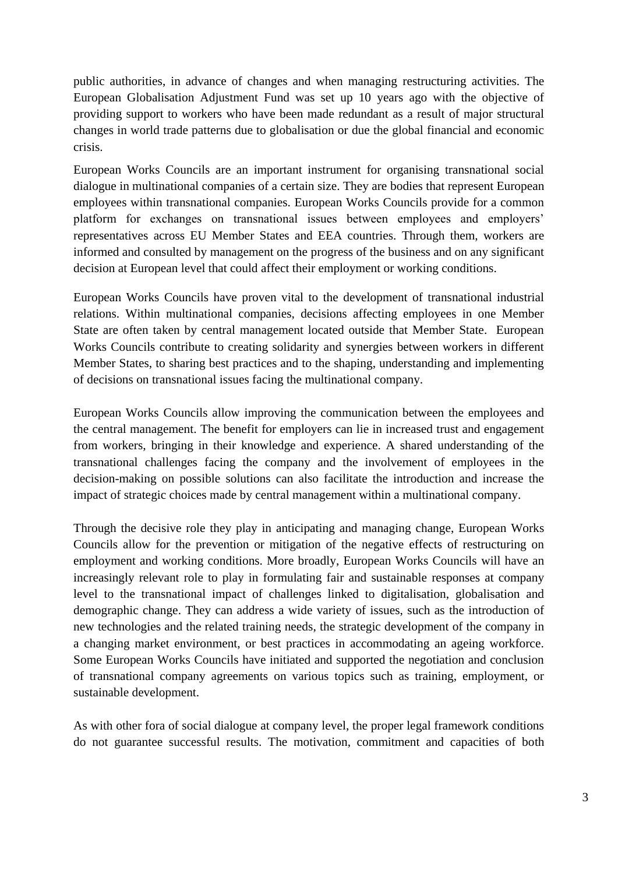public authorities, in advance of changes and when managing restructuring activities. The European Globalisation Adjustment Fund was set up 10 years ago with the objective of providing support to workers who have been made redundant as a result of major structural changes in world trade patterns due to globalisation or due the global financial and economic crisis.

European Works Councils are an important instrument for organising transnational social dialogue in multinational companies of a certain size. They are bodies that represent European employees within transnational companies. European Works Councils provide for a common platform for exchanges on transnational issues between employees and employers' representatives across EU Member States and EEA countries. Through them, workers are informed and consulted by management on the progress of the business and on any significant decision at European level that could affect their employment or working conditions.

European Works Councils have proven vital to the development of transnational industrial relations. Within multinational companies, decisions affecting employees in one Member State are often taken by central management located outside that Member State. European Works Councils contribute to creating solidarity and synergies between workers in different Member States, to sharing best practices and to the shaping, understanding and implementing of decisions on transnational issues facing the multinational company.

European Works Councils allow improving the communication between the employees and the central management. The benefit for employers can lie in increased trust and engagement from workers, bringing in their knowledge and experience. A shared understanding of the transnational challenges facing the company and the involvement of employees in the decision-making on possible solutions can also facilitate the introduction and increase the impact of strategic choices made by central management within a multinational company.

Through the decisive role they play in anticipating and managing change, European Works Councils allow for the prevention or mitigation of the negative effects of restructuring on employment and working conditions. More broadly, European Works Councils will have an increasingly relevant role to play in formulating fair and sustainable responses at company level to the transnational impact of challenges linked to digitalisation, globalisation and demographic change. They can address a wide variety of issues, such as the introduction of new technologies and the related training needs, the strategic development of the company in a changing market environment, or best practices in accommodating an ageing workforce. Some European Works Councils have initiated and supported the negotiation and conclusion of transnational company agreements on various topics such as training, employment, or sustainable development.

As with other fora of social dialogue at company level, the proper legal framework conditions do not guarantee successful results. The motivation, commitment and capacities of both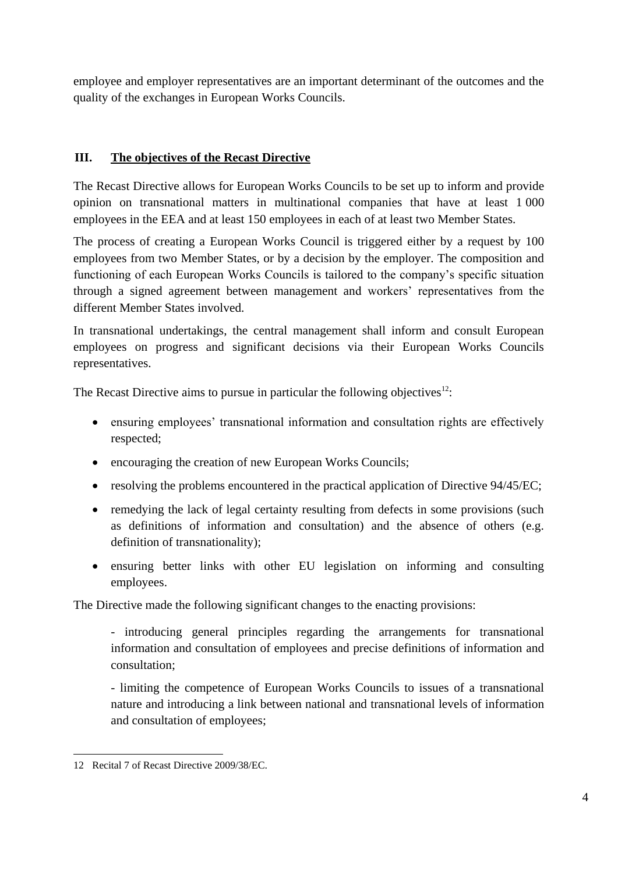employee and employer representatives are an important determinant of the outcomes and the quality of the exchanges in European Works Councils.

## **III. The objectives of the Recast Directive**

The Recast Directive allows for European Works Councils to be set up to inform and provide opinion on transnational matters in multinational companies that have at least 1 000 employees in the EEA and at least 150 employees in each of at least two Member States.

The process of creating a European Works Council is triggered either by a request by 100 employees from two Member States, or by a decision by the employer. The composition and functioning of each European Works Councils is tailored to the company's specific situation through a signed agreement between management and workers' representatives from the different Member States involved.

In transnational undertakings, the central management shall inform and consult European employees on progress and significant decisions via their European Works Councils representatives.

The Recast Directive aims to pursue in particular the following objectives<sup>12</sup>:

- ensuring employees' transnational information and consultation rights are effectively respected;
- encouraging the creation of new European Works Councils;
- resolving the problems encountered in the practical application of Directive 94/45/EC;
- remedying the lack of legal certainty resulting from defects in some provisions (such as definitions of information and consultation) and the absence of others (e.g. definition of transnationality);
- ensuring better links with other EU legislation on informing and consulting employees.

The Directive made the following significant changes to the enacting provisions:

- introducing general principles regarding the arrangements for transnational information and consultation of employees and precise definitions of information and consultation;

- limiting the competence of European Works Councils to issues of a transnational nature and introducing a link between national and transnational levels of information and consultation of employees;

<sup>1</sup> 12 Recital 7 of Recast Directive 2009/38/EC.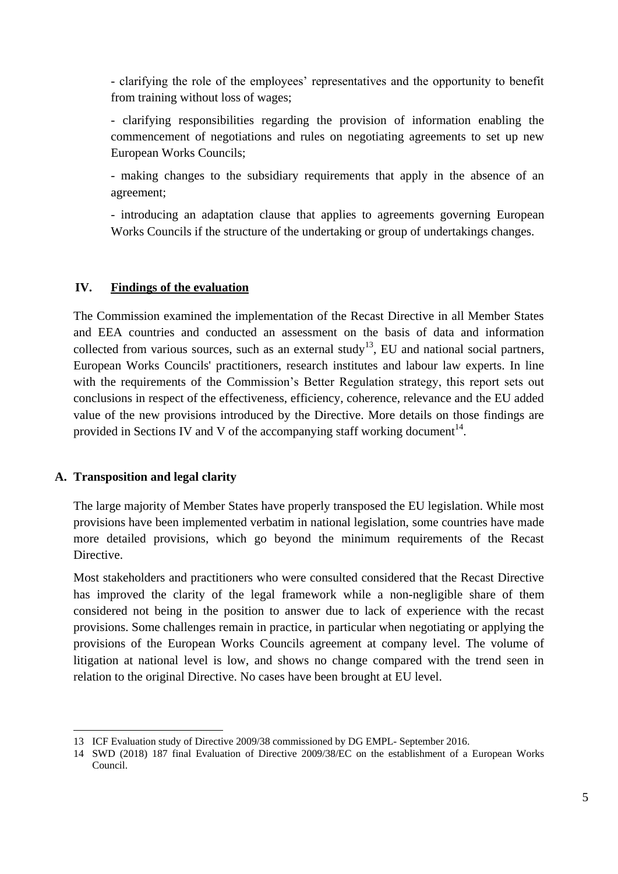- clarifying the role of the employees' representatives and the opportunity to benefit from training without loss of wages;

- clarifying responsibilities regarding the provision of information enabling the commencement of negotiations and rules on negotiating agreements to set up new European Works Councils;

- making changes to the subsidiary requirements that apply in the absence of an agreement;

- introducing an adaptation clause that applies to agreements governing European Works Councils if the structure of the undertaking or group of undertakings changes.

#### **IV. Findings of the evaluation**

The Commission examined the implementation of the Recast Directive in all Member States and EEA countries and conducted an assessment on the basis of data and information collected from various sources, such as an external study<sup>13</sup>, EU and national social partners, European Works Councils' practitioners, research institutes and labour law experts. In line with the requirements of the Commission's Better Regulation strategy, this report sets out conclusions in respect of the effectiveness, efficiency, coherence, relevance and the EU added value of the new provisions introduced by the Directive. More details on those findings are provided in Sections IV and V of the accompanying staff working document $14$ .

#### **A. Transposition and legal clarity**

The large majority of Member States have properly transposed the EU legislation. While most provisions have been implemented verbatim in national legislation, some countries have made more detailed provisions, which go beyond the minimum requirements of the Recast Directive.

Most stakeholders and practitioners who were consulted considered that the Recast Directive has improved the clarity of the legal framework while a non-negligible share of them considered not being in the position to answer due to lack of experience with the recast provisions. Some challenges remain in practice, in particular when negotiating or applying the provisions of the European Works Councils agreement at company level. The volume of litigation at national level is low, and shows no change compared with the trend seen in relation to the original Directive. No cases have been brought at EU level.

<sup>-</sup>13 ICF Evaluation study of Directive 2009/38 commissioned by DG EMPL- September 2016.

<sup>14</sup> SWD (2018) 187 final Evaluation of Directive 2009/38/EC on the establishment of a European Works Council.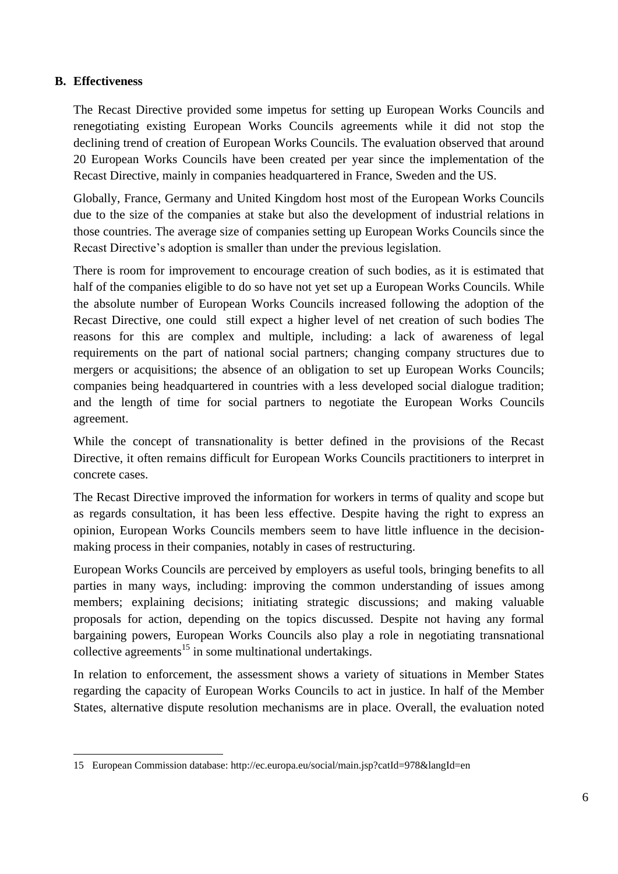#### **B. Effectiveness**

The Recast Directive provided some impetus for setting up European Works Councils and renegotiating existing European Works Councils agreements while it did not stop the declining trend of creation of European Works Councils. The evaluation observed that around 20 European Works Councils have been created per year since the implementation of the Recast Directive, mainly in companies headquartered in France, Sweden and the US.

Globally, France, Germany and United Kingdom host most of the European Works Councils due to the size of the companies at stake but also the development of industrial relations in those countries. The average size of companies setting up European Works Councils since the Recast Directive's adoption is smaller than under the previous legislation.

There is room for improvement to encourage creation of such bodies, as it is estimated that half of the companies eligible to do so have not yet set up a European Works Councils. While the absolute number of European Works Councils increased following the adoption of the Recast Directive, one could still expect a higher level of net creation of such bodies The reasons for this are complex and multiple, including: a lack of awareness of legal requirements on the part of national social partners; changing company structures due to mergers or acquisitions; the absence of an obligation to set up European Works Councils; companies being headquartered in countries with a less developed social dialogue tradition; and the length of time for social partners to negotiate the European Works Councils agreement.

While the concept of transnationality is better defined in the provisions of the Recast Directive, it often remains difficult for European Works Councils practitioners to interpret in concrete cases.

The Recast Directive improved the information for workers in terms of quality and scope but as regards consultation, it has been less effective. Despite having the right to express an opinion, European Works Councils members seem to have little influence in the decisionmaking process in their companies, notably in cases of restructuring.

European Works Councils are perceived by employers as useful tools, bringing benefits to all parties in many ways, including: improving the common understanding of issues among members; explaining decisions; initiating strategic discussions; and making valuable proposals for action, depending on the topics discussed. Despite not having any formal bargaining powers, European Works Councils also play a role in negotiating transnational collective agreements<sup>15</sup> in some multinational undertakings.

In relation to enforcement, the assessment shows a variety of situations in Member States regarding the capacity of European Works Councils to act in justice. In half of the Member States, alternative dispute resolution mechanisms are in place. Overall, the evaluation noted

<sup>1</sup> 15 European Commission database:<http://ec.europa.eu/social/main.jsp?catId=978&langId=en>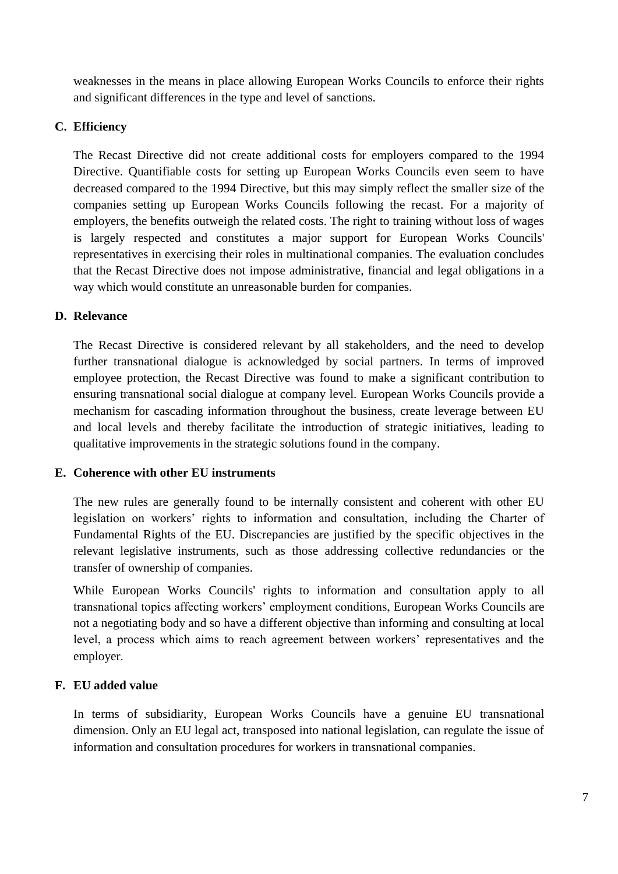weaknesses in the means in place allowing European Works Councils to enforce their rights and significant differences in the type and level of sanctions.

## **C. Efficiency**

The Recast Directive did not create additional costs for employers compared to the 1994 Directive. Quantifiable costs for setting up European Works Councils even seem to have decreased compared to the 1994 Directive, but this may simply reflect the smaller size of the companies setting up European Works Councils following the recast. For a majority of employers, the benefits outweigh the related costs. The right to training without loss of wages is largely respected and constitutes a major support for European Works Councils' representatives in exercising their roles in multinational companies. The evaluation concludes that the Recast Directive does not impose administrative, financial and legal obligations in a way which would constitute an unreasonable burden for companies.

#### **D. Relevance**

The Recast Directive is considered relevant by all stakeholders, and the need to develop further transnational dialogue is acknowledged by social partners. In terms of improved employee protection, the Recast Directive was found to make a significant contribution to ensuring transnational social dialogue at company level. European Works Councils provide a mechanism for cascading information throughout the business, create leverage between EU and local levels and thereby facilitate the introduction of strategic initiatives, leading to qualitative improvements in the strategic solutions found in the company.

#### **E. Coherence with other EU instruments**

The new rules are generally found to be internally consistent and coherent with other EU legislation on workers' rights to information and consultation, including the Charter of Fundamental Rights of the EU. Discrepancies are justified by the specific objectives in the relevant legislative instruments, such as those addressing collective redundancies or the transfer of ownership of companies.

While European Works Councils' rights to information and consultation apply to all transnational topics affecting workers' employment conditions, European Works Councils are not a negotiating body and so have a different objective than informing and consulting at local level, a process which aims to reach agreement between workers' representatives and the employer.

#### **F. EU added value**

In terms of subsidiarity, European Works Councils have a genuine EU transnational dimension. Only an EU legal act, transposed into national legislation, can regulate the issue of information and consultation procedures for workers in transnational companies.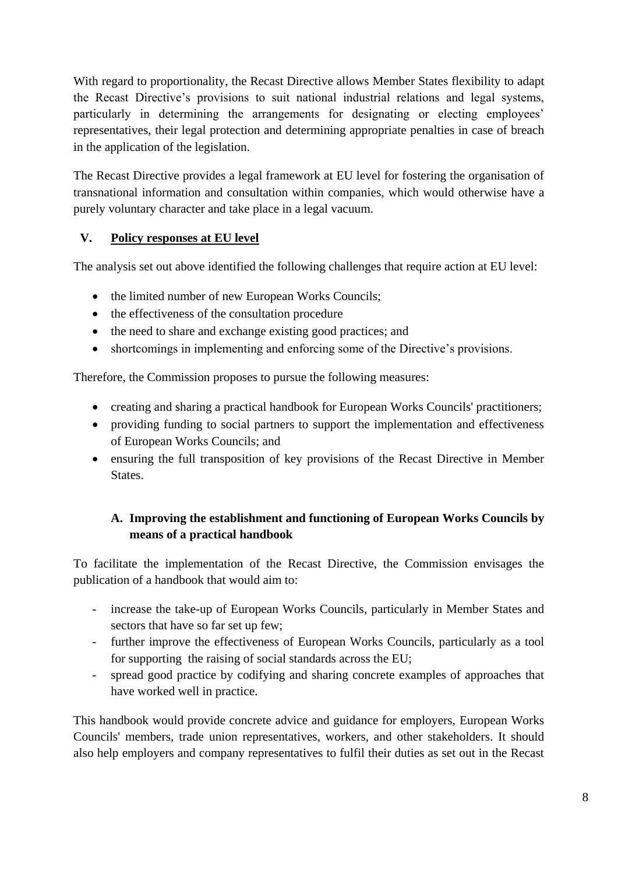With regard to proportionality, the Recast Directive allows Member States flexibility to adapt the Recast Directive's provisions to suit national industrial relations and legal systems, particularly in determining the arrangements for designating or electing employees' representatives, their legal protection and determining appropriate penalties in case of breach in the application of the legislation.

The Recast Directive provides a legal framework at EU level for fostering the organisation of transnational information and consultation within companies, which would otherwise have a purely voluntary character and take place in a legal vacuum.

## **V. Policy responses at EU level**

The analysis set out above identified the following challenges that require action at EU level:

- the limited number of new European Works Councils;
- the effectiveness of the consultation procedure
- the need to share and exchange existing good practices; and
- shortcomings in implementing and enforcing some of the Directive's provisions.

Therefore, the Commission proposes to pursue the following measures:

- creating and sharing a practical handbook for European Works Councils' practitioners;
- providing funding to social partners to support the implementation and effectiveness of European Works Councils; and
- ensuring the full transposition of key provisions of the Recast Directive in Member States.

# **A. Improving the establishment and functioning of European Works Councils by means of a practical handbook**

To facilitate the implementation of the Recast Directive, the Commission envisages the publication of a handbook that would aim to:

- increase the take-up of European Works Councils, particularly in Member States and sectors that have so far set up few;
- further improve the effectiveness of European Works Councils, particularly as a tool for supporting the raising of social standards across the EU;
- spread good practice by codifying and sharing concrete examples of approaches that have worked well in practice.

This handbook would provide concrete advice and guidance for employers, European Works Councils' members, trade union representatives, workers, and other stakeholders. It should also help employers and company representatives to fulfil their duties as set out in the Recast